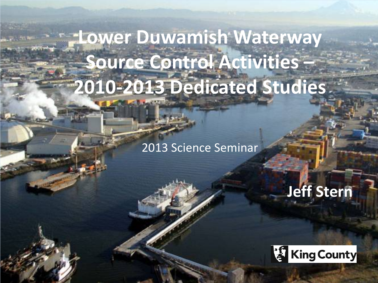# **Lower Duwamish Waterway Source Control Activities – 2010-2013 Dedicated Studies**

2013 Science Seminar

**Jeff Stern**

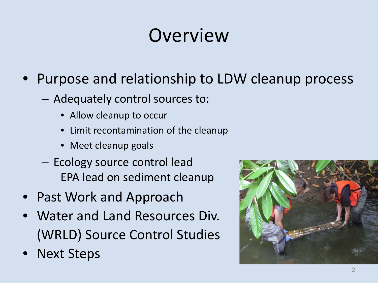# **Overview**

#### • Purpose and relationship to LDW cleanup process

- Adequately control sources to:
	- Allow cleanup to occur
	- Limit recontamination of the cleanup
	- Meet cleanup goals
- Ecology source control lead EPA lead on sediment cleanup
- Past Work and Approach
- Water and Land Resources Div. (WRLD) Source Control Studies
- Next Steps

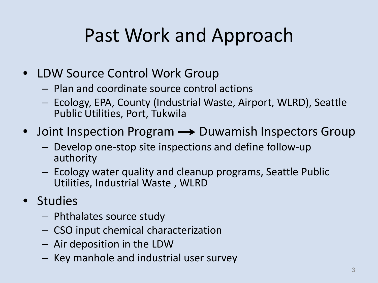# Past Work and Approach

- LDW Source Control Work Group
	- Plan and coordinate source control actions
	- Ecology, EPA, County (Industrial Waste, Airport, WLRD), Seattle Public Utilities, Port, Tukwila
- Joint Inspection Program  $\rightarrow$  Duwamish Inspectors Group
	- Develop one-stop site inspections and define follow-up authority
	- Ecology water quality and cleanup programs, Seattle Public Utilities, Industrial Waste , WLRD
- Studies
	- Phthalates source study
	- CSO input chemical characterization
	- Air deposition in the LDW
	- Key manhole and industrial user survey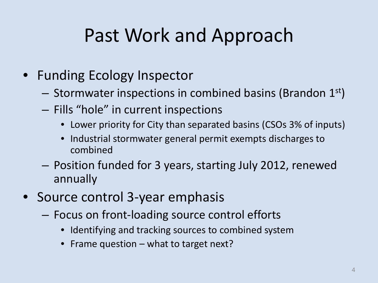# Past Work and Approach

- Funding Ecology Inspector
	- $-$  Stormwater inspections in combined basins (Brandon 1st)
	- Fills "hole" in current inspections
		- Lower priority for City than separated basins (CSOs 3% of inputs)
		- Industrial stormwater general permit exempts discharges to combined
	- Position funded for 3 years, starting July 2012, renewed annually
- Source control 3-year emphasis
	- Focus on front-loading source control efforts
		- Identifying and tracking sources to combined system
		- Frame question what to target next?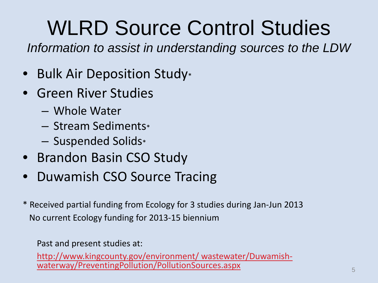# WLRD Source Control Studies

*Information to assist in understanding sources to the LDW*

- Bulk Air Deposition Study\*
- Green River Studies
	- Whole Water
	- Stream Sediments\*
	- Suspended Solids\*
- Brandon Basin CSO Study
- Duwamish CSO Source Tracing
- \* Received partial funding from Ecology for 3 studies during Jan-Jun 2013 No current Ecology funding for 2013-15 biennium

Past and present studies at:

[http://www.kingcounty.gov/environment/ wastewater/Duwamish-](http://www.kingcounty.gov/environment/wastewater/Duwamish-waterway/PreventingPollution/PollutionSources.aspx) [waterway/PreventingPollution/PollutionSources.aspx](http://www.kingcounty.gov/environment/wastewater/Duwamish-waterway/PreventingPollution/PollutionSources.aspx) <sup>5</sup>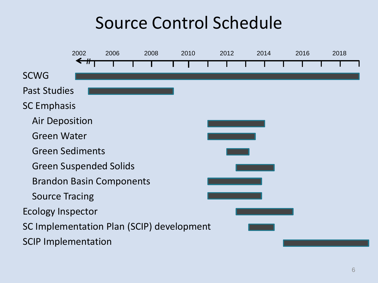### Source Control Schedule

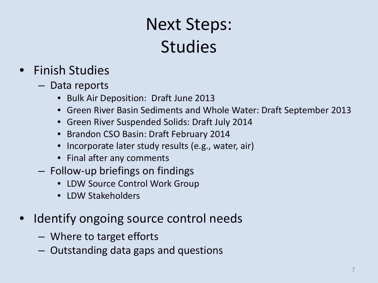## Next Steps: Studies

#### • Finish Studies

- Data reports
	- Bulk Air Deposition: Draft June 2013
	- Green River Basin Sediments and Whole Water: Draft September 2013
	- Green River Suspended Solids: Draft July 2014
	- Brandon CSO Basin: Draft February 2014
	- Incorporate later study results (e.g., water, air)
	- Final after any comments
- Follow-up briefings on findings
	- LDW Source Control Work Group
	- LDW Stakeholders
- Identify ongoing source control needs
	- Where to target efforts
	- Outstanding data gaps and questions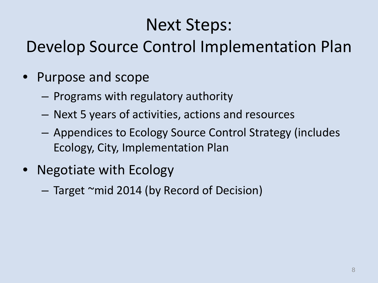### Next Steps:

#### Develop Source Control Implementation Plan

- Purpose and scope
	- Programs with regulatory authority
	- Next 5 years of activities, actions and resources
	- Appendices to Ecology Source Control Strategy (includes Ecology, City, Implementation Plan
- Negotiate with Ecology

– Target ~mid 2014 (by Record of Decision)